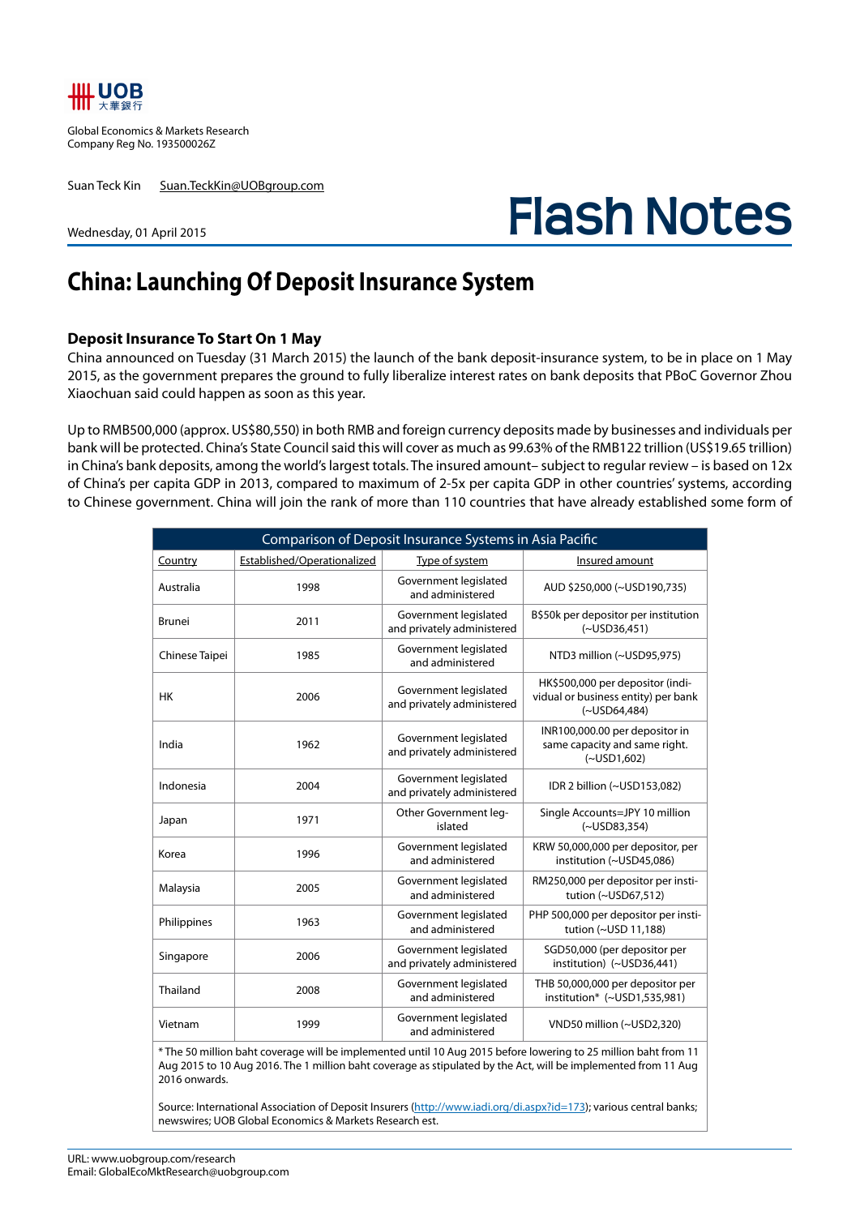

Global Economics & Markets Research Company Reg No. 193500026Z

Suan Teck Kin Suan.TeckKin@UOBgroup.com

Wednesday, 01 April 2015

# **Flash Notes**

## **China: Launching Of Deposit Insurance System**

#### **Deposit Insurance To Start On 1 May**

China announced on Tuesday (31 March 2015) the launch of the bank deposit-insurance system, to be in place on 1 May 2015, as the government prepares the ground to fully liberalize interest rates on bank deposits that PBoC Governor Zhou Xiaochuan said could happen as soon as this year.

Up to RMB500,000 (approx. US\$80,550) in both RMB and foreign currency deposits made by businesses and individuals per bank will be protected. China's State Council said this will cover as much as 99.63% of the RMB122 trillion (US\$19.65 trillion) in China's bank deposits, among the world's largest totals. The insured amount– subject to regular review – is based on 12x of China's per capita GDP in 2013, compared to maximum of 2-5x per capita GDP in other countries' systems, according to Chinese government. China will join the rank of more than 110 countries that have already established some form of

| Comparison of Deposit Insurance Systems in Asia Pacific |                             |                                                     |                                                                                               |  |  |  |  |  |
|---------------------------------------------------------|-----------------------------|-----------------------------------------------------|-----------------------------------------------------------------------------------------------|--|--|--|--|--|
| Country                                                 | Established/Operationalized | Type of system                                      | Insured amount                                                                                |  |  |  |  |  |
| Australia                                               | 1998                        | Government legislated<br>and administered           | AUD \$250,000 (~USD190,735)                                                                   |  |  |  |  |  |
| <b>Brunei</b>                                           | 2011                        | Government legislated<br>and privately administered | B\$50k per depositor per institution<br>$(-USD36, 451)$                                       |  |  |  |  |  |
| Chinese Taipei                                          | 1985                        | Government legislated<br>and administered           | NTD3 million (~USD95,975)                                                                     |  |  |  |  |  |
| HK                                                      | 2006                        | Government legislated<br>and privately administered | HK\$500,000 per depositor (indi-<br>vidual or business entity) per bank<br>$(\sim USD64,484)$ |  |  |  |  |  |
| India                                                   | 1962                        | Government legislated<br>and privately administered | INR100,000.00 per depositor in<br>same capacity and same right.<br>$(-USD1,602)$              |  |  |  |  |  |
| Indonesia                                               | 2004                        | Government legislated<br>and privately administered | IDR 2 billion (~USD153,082)                                                                   |  |  |  |  |  |
| Japan                                                   | 1971                        | Other Government leg-<br>islated                    | Single Accounts=JPY 10 million<br>$(-USD83, 354)$                                             |  |  |  |  |  |
| Korea                                                   | 1996                        | Government legislated<br>and administered           | KRW 50,000,000 per depositor, per<br>institution (~USD45,086)                                 |  |  |  |  |  |
| Malaysia                                                | 2005                        | Government legislated<br>and administered           | RM250,000 per depositor per insti-<br>tution $(\sim USD67.512)$                               |  |  |  |  |  |
| Philippines                                             | 1963                        | Government legislated<br>and administered           | PHP 500,000 per depositor per insti-<br>tution (~USD 11,188)                                  |  |  |  |  |  |
| Singapore                                               | 2006                        | Government legislated<br>and privately administered | SGD50,000 (per depositor per<br>institution) (~USD36,441)                                     |  |  |  |  |  |
| Thailand                                                | 2008                        | Government legislated<br>and administered           | THB 50,000,000 per depositor per<br>institution* (~USD1,535,981)                              |  |  |  |  |  |
| Vietnam                                                 | 1999                        | Government legislated<br>and administered           | VND50 million (~USD2,320)                                                                     |  |  |  |  |  |

\* The 50 million baht coverage will be implemented until 10 Aug 2015 before lowering to 25 million baht from 11 Aug 2015 to 10 Aug 2016. The 1 million baht coverage as stipulated by the Act, will be implemented from 11 Aug 2016 onwards.

Source: International Association of Deposit Insurers (http://www.iadi.org/di.aspx?id=173); various central banks; newswires; UOB Global Economics & Markets Research est.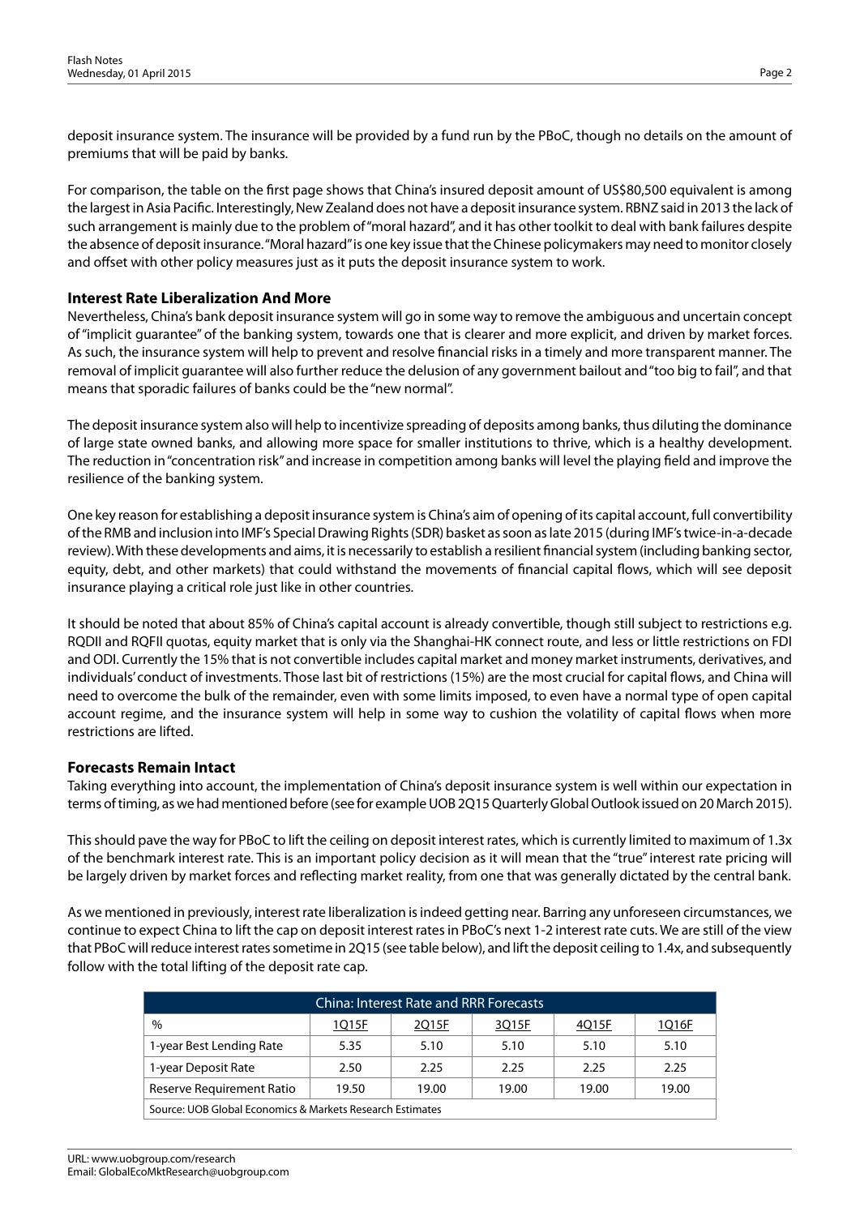deposit insurance system. The insurance will be provided by a fund run by the PBoC, though no details on the amount of premiums that will be paid by banks.

For comparison, the table on the first page shows that China's insured deposit amount of US\$80,500 equivalent is among the largest in Asia Pacific. Interestingly, New Zealand does not have a deposit insurance system. RBNZ said in 2013 the lack of such arrangement is mainly due to the problem of "moral hazard", and it has other toolkit to deal with bank failures despite the absence of deposit insurance. "Moral hazard" is one key issue that the Chinese policymakers may need to monitor closely and offset with other policy measures just as it puts the deposit insurance system to work.

### **Interest Rate Liberalization And More**

Nevertheless, China's bank deposit insurance system will go in some way to remove the ambiguous and uncertain concept of "implicit guarantee" of the banking system, towards one that is clearer and more explicit, and driven by market forces. As such, the insurance system will help to prevent and resolve financial risks in a timely and more transparent manner. The removal of implicit guarantee will also further reduce the delusion of any government bailout and "too big to fail", and that means that sporadic failures of banks could be the "new normal".

The deposit insurance system also will help to incentivize spreading of deposits among banks, thus diluting the dominance of large state owned banks, and allowing more space for smaller institutions to thrive, which is a healthy development. The reduction in "concentration risk" and increase in competition among banks will level the playing field and improve the resilience of the banking system.

One key reason for establishing a deposit insurance system is China's aim of opening of its capital account, full convertibility of the RMB and inclusion into IMF's Special Drawing Rights (SDR) basket as soon as late 2015 (during IMF's twice-in-a-decade review). With these developments and aims, it is necessarily to establish a resilient financial system (including banking sector, equity, debt, and other markets) that could withstand the movements of financial capital flows, which will see deposit insurance playing a critical role just like in other countries.

It should be noted that about 85% of China's capital account is already convertible, though still subject to restrictions e.g. RQDII and RQFII quotas, equity market that is only via the Shanghai-HK connect route, and less or little restrictions on FDI and ODI. Currently the 15% that is not convertible includes capital market and money market instruments, derivatives, and individuals' conduct of investments. Those last bit of restrictions (15%) are the most crucial for capital flows, and China will need to overcome the bulk of the remainder, even with some limits imposed, to even have a normal type of open capital account regime, and the insurance system will help in some way to cushion the volatility of capital flows when more restrictions are lifted.

### **Forecasts Remain Intact**

Taking everything into account, the implementation of China's deposit insurance system is well within our expectation in terms of timing, as we had mentioned before (see for example UOB 2Q15 Quarterly Global Outlook issued on 20 March 2015).

This should pave the way for PBoC to lift the ceiling on deposit interest rates, which is currently limited to maximum of 1.3x of the benchmark interest rate. This is an important policy decision as it will mean that the "true" interest rate pricing will be largely driven by market forces and reflecting market reality, from one that was generally dictated by the central bank.

As we mentioned in previously, interest rate liberalization is indeed getting near. Barring any unforeseen circumstances, we continue to expect China to lift the cap on deposit interest rates in PBoC's next 1-2 interest rate cuts. We are still of the view that PBoC will reduce interest rates sometime in 2Q15 (see table below), and lift the deposit ceiling to 1.4x, and subsequently follow with the total lifting of the deposit rate cap.

| China: Interest Rate and RRR Forecasts                    |       |       |       |       |       |  |  |
|-----------------------------------------------------------|-------|-------|-------|-------|-------|--|--|
| $\%$                                                      | 1Q15F | 2Q15F | 3Q15F | 4Q15F | 1Q16F |  |  |
| 1-year Best Lending Rate                                  | 5.35  | 5.10  | 5.10  | 5.10  | 5.10  |  |  |
| 1-year Deposit Rate                                       | 2.50  | 2.25  | 2.25  | 2.25  | 2.25  |  |  |
| Reserve Requirement Ratio                                 | 19.50 | 19.00 | 19.00 | 19.00 | 19.00 |  |  |
| Source: UOB Global Economics & Markets Research Estimates |       |       |       |       |       |  |  |